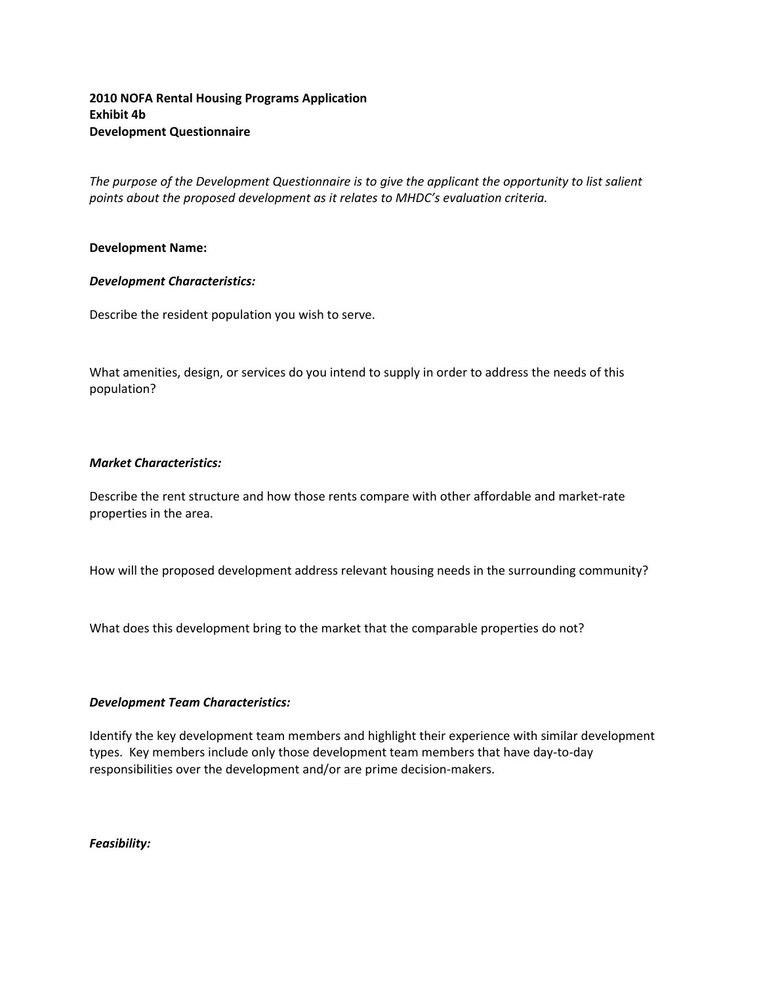# **2010 NOFA Rental Housing Programs Application Exhibit 4b Development Questionnaire**

*The purpose of the Development Questionnaire is to give the applicant the opportunity to list salient points about the proposed development as it relates to MHDC's evaluation criteria.*

### **Development Name:**

### *Development Characteristics:*

Describe the resident population you wish to serve.

What amenities, design, or services do you intend to supply in order to address the needs of this population?

# *Market Characteristics:*

Describe the rent structure and how those rents compare with other affordable and market-rate properties in the area.

How will the proposed development address relevant housing needs in the surrounding community?

What does this development bring to the market that the comparable properties do not?

### *Development Team Characteristics:*

Identify the key development team members and highlight their experience with similar development types. Key members include only those development team members that have day‐to‐day responsibilities over the development and/or are prime decision‐makers.

*Feasibility:*